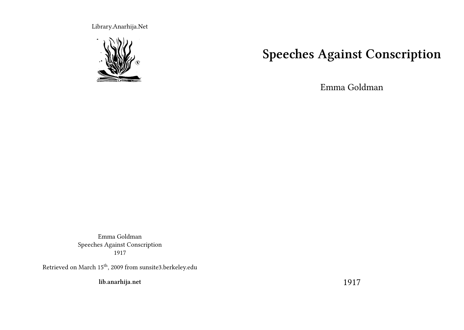Library.Anarhija.Net



# **Speeches Against Conscription**

Emma Goldman

Emma Goldman Speeches Against Conscription 1917

Retrieved on March  $15^{\rm th}$ , 2009 from sunsite3.berkeley.edu

**lib.anarhija.net**

1917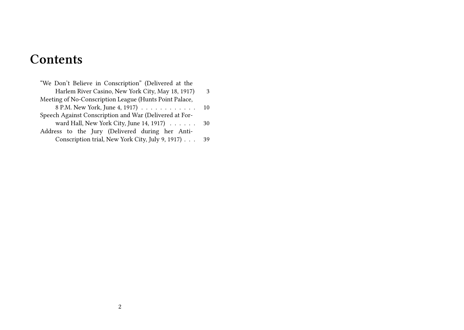## **Contents**

"We Don't Believe in Conscription" (Delivered at the Harlem River Casino, New York City, May 18, 1917) 3 Meeting of No-Conscription League (Hunts Point Palace, 8 P.M. New York, June 4, 1917) . . . . . . . . . . . . 10 Speech Against Conscription and War (Delivered at Forward Hall, New York City, June 14, 1917) . . . . . . 30 Address to the Jury (Delivered during her Anti-Conscription trial, New York City, July 9, 1917) . . . 39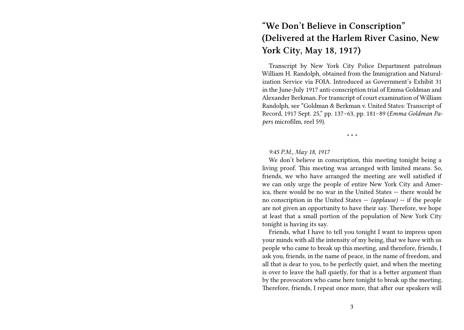#### **"We Don't Believe in Conscription" (Delivered at the Harlem River Casino, New York City, May 18, 1917)**

Transcript by New York City Police Department patrolman William H. Randolph, obtained from the Immigration and Naturalization Service via FOIA. Introduced as Government's Exhibit 31 in the June-July 1917 anti-conscription trial of Emma Goldman and Alexander Berkman. For transcript of court examination of William Randolph, see "Goldman & Berkman v. United States: Transcript of Record, 1917 Sept. 25," pp. 137–63, pp. 181–89 (*Emma Goldman Papers* microfilm, reel 59).

\* \* \*

#### *9:45 P.M., May 18, 1917*

We don't believe in conscription, this meeting tonight being a living proof. This meeting was arranged with limited means. So, friends, we who have arranged the meeting are well satisfied if we can only urge the people of entire New York City and America, there would be no war in the United States — there would be no conscription in the United States — *(applause)* — if the people are not given an opportunity to have their say. Therefore, we hope at least that a small portion of the population of New York City tonight is having its say.

Friends, what I have to tell you tonight I want to impress upon your minds with all the intensity of my being, that we have with us people who came to break up this meeting, and therefore, friends, I ask you, friends, in the name of peace, in the name of freedom, and all that is dear to you, to be perfectly quiet, and when the meeting is over to leave the hall quietly, for that is a better argument than by the provocators who came here tonight to break up the meeting. Therefore, friends, I repeat once more, that after our speakers will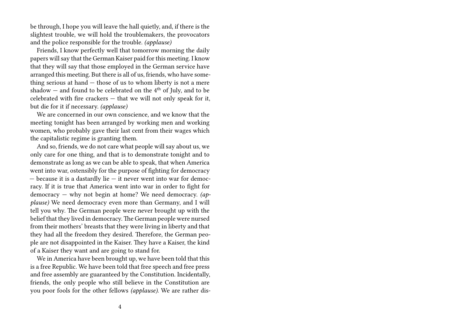be through, I hope you will leave the hall quietly, and, if there is the slightest trouble, we will hold the troublemakers, the provocators and the police responsible for the trouble. *(applause)*

Friends, I know perfectly well that tomorrow morning the daily papers will say that the German Kaiser paid for this meeting. I know that they will say that those employed in the German service have arranged this meeting. But there is all of us, friends, who have something serious at hand — those of us to whom liberty is not a mere shadow — and found to be celebrated on the  $4<sup>th</sup>$  of July, and to be celebrated with fire crackers — that we will not only speak for it, but die for it if necessary. *(applause)*

We are concerned in our own conscience, and we know that the meeting tonight has been arranged by working men and working women, who probably gave their last cent from their wages which the capitalistic regime is granting them.

And so, friends, we do not care what people will say about us, we only care for one thing, and that is to demonstrate tonight and to demonstrate as long as we can be able to speak, that when America went into war, ostensibly for the purpose of fighting for democracy  $-$  because it is a dastardly lie  $-$  it never went into war for democracy. If it is true that America went into war in order to fight for democracy — why not begin at home? We need democracy. *(applause)* We need democracy even more than Germany, and I will tell you why. The German people were never brought up with the belief that they lived in democracy.The German people were nursed from their mothers' breasts that they were living in liberty and that they had all the freedom they desired. Therefore, the German people are not disappointed in the Kaiser. They have a Kaiser, the kind of a Kaiser they want and are going to stand for.

We in America have been brought up, we have been told that this is a free Republic. We have been told that free speech and free press and free assembly are guaranteed by the Constitution. Incidentally, friends, the only people who still believe in the Constitution are you poor fools for the other fellows *(applause)*. We are rather dis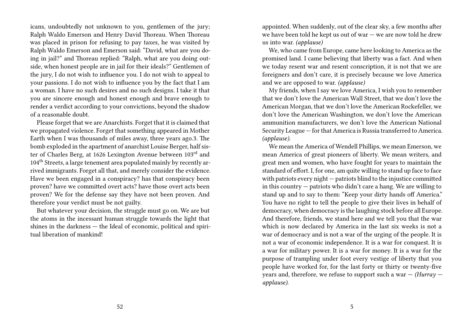icans, undoubtedly not unknown to you, gentlemen of the jury; Ralph Waldo Emerson and Henry David Thoreau. When Thoreau was placed in prison for refusing to pay taxes, he was visited by Ralph Waldo Emerson and Emerson said: "David, what are you doing in jail?" and Thoreau replied: "Ralph, what are you doing outside, when honest people are in jail for their ideals?" Gentlemen of the jury, I do not wish to influence you. I do not wish to appeal to your passions. I do not wish to influence you by the fact that I am a woman. I have no such desires and no such designs. I take it that you are sincere enough and honest enough and brave enough to render a verdict according to your convictions, beyond the shadow of a reasonable doubt.

Please forget that we are Anarchists. Forget that it is claimed that we propagated violence. Forget that something appeared in Mother Earth when I was thousands of miles away, three years ago.3. The bomb exploded in the apartment of anarchist Louise Berger, half sister of Charles Berg, at 1626 Lexington Avenue between 103rd and 104th Streets, a large tenement area populated mainly by recently arrived immigrants. Forget all that, and merely consider the evidence. Have we been engaged in a conspiracy? has that conspiracy been proven? have we committed overt acts? have those overt acts been proven? We for the defense say they have not been proven. And therefore your verdict must be not guilty.

But whatever your decision, the struggle must go on. We are but the atoms in the incessant human struggle towards the light that shines in the darkness — the Ideal of economic, political and spiritual liberation of mankind!

appointed. When suddenly, out of the clear sky, a few months after we have been told he kept us out of war — we are now told he drew us into war. *(applause)*

We, who came from Europe, came here looking to America as the promised land. I came believing that liberty was a fact. And when we today resent war and resent conscription, it is not that we are foreigners and don't care, it is precisely because we love America and we are opposed to war. *(applause)*

My friends, when I say we love America, I wish you to remember that we don't love the American Wall Street, that we don't love the American Morgan, that we don't love the American Rockefeller, we don't love the American Washington, we don't love the American ammunition manufacturers, we don't love the American National Security League — for that America is Russia transferred to America. *(applause)*.

We mean the America of Wendell Phillips, we mean Emerson, we mean America of great pioneers of liberty. We mean writers, and great men and women, who have fought for years to maintain the standard of effort. I, for one, am quite willing to stand up face to face with patriots every night — patriots blind to the injustice committed in this country — patriots who didn't care a hang. We are willing to stand up and to say to them: "Keep your dirty hands off America." You have no right to tell the people to give their lives in behalf of democracy, when democracy is the laughing stock before all Europe. And therefore, friends, we stand here and we tell you that the war which is now declared by America in the last six weeks is not a war of democracy and is not a war of the urging of the people. It is not a war of economic independence. It is a war for conquest. It is a war for military power. It is a war for money. It is a war for the purpose of trampling under foot every vestige of liberty that you people have worked for, for the last forty or thirty or twenty-five years and, therefore, we refuse to support such a war — *(Hurray applause)*.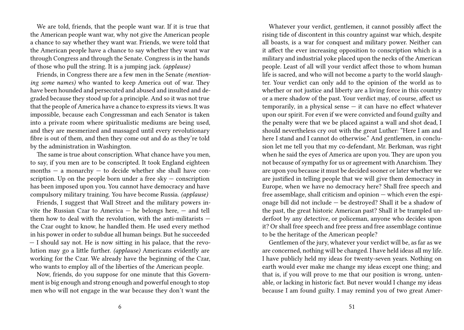We are told, friends, that the people want war. If it is true that the American people want war, why not give the American people a chance to say whether they want war. Friends, we were told that the American people have a chance to say whether they want war through Congress and through the Senate. Congress is in the hands of those who pull the string. It is a jumping jack. *(applause)*

Friends, in Congress there are a few men in the Senate *(mentioning some names)* who wanted to keep America out of war. They have been hounded and persecuted and abused and insulted and degraded because they stood up for a principle. And so it was not true that the people of America have a chance to express its views. It was impossible, because each Congressman and each Senator is taken into a private room where spiritualistic mediums are being used, and they are mesmerized and massaged until every revolutionary fibre is out of them, and then they come out and do as they're told by the administration in Washington.

The same is true about conscription. What chance have you men, to say, if you men are to be conscripted. It took England eighteen months — a monarchy — to decide whether she shall have conscription. Up on the people born under a free sky  $-$  conscription has been imposed upon you. You cannot have democracy and have compulsory military training. You have become Russia. *(applause)*

Friends, I suggest that Wall Street and the military powers invite the Russian Czar to America — he belongs here, — and tell them how to deal with the revolution, with the anti-militarists the Czar ought to know, he handled them. He used every method in his power in order to subdue all human beings. But he succeeded — I should say not. He is now sitting in his palace, that the revolution may go a little further. *(applause)* Americans evidently are working for the Czar. We already have the beginning of the Czar, who wants to employ all of the liberties of the American people.

Now, friends, do you suppose for one minute that this Government is big enough and strong enough and powerful enough to stop men who will not engage in the war because they don't want the

Whatever your verdict, gentlemen, it cannot possibly affect the rising tide of discontent in this country against war which, despite all boasts, is a war for conquest and military power. Neither can it affect the ever increasing opposition to conscription which is a military and industrial yoke placed upon the necks of the American people. Least of all will your verdict affect those to whom human life is sacred, and who will not become a party to the world slaughter. Your verdict can only add to the opinion of the world as to whether or not justice and liberty are a living force in this country or a mere shadow of the past. Your verdict may, of course, affect us temporarily, in a physical sense — it can have no effect whatever upon our spirit. For even if we were convicted and found guilty and the penalty were that we be placed against a wall and shot dead, I should nevertheless cry out with the great Luther: "Here I am and here I stand and I cannot do otherwise." And gentlemen, in conclusion let me tell you that my co-defendant, Mr. Berkman, was right when he said the eyes of America are upon you. They are upon you not because of sympathy for us or agreement with Anarchism. They are upon you because it must be decided sooner or later whether we are justified in telling people that we will give them democracy in Europe, when we have no democracy here? Shall free speech and free assemblage, shall criticism and opinion — which even the espionage bill did not include — be destroyed? Shall it be a shadow of the past, the great historic American past? Shall it be trampled underfoot by any detective, or policeman, anyone who decides upon it? Or shall free speech and free press and free assemblage continue to be the heritage of the American people?

Gentlemen of the jury, whatever your verdict will be, as far as we are concerned, nothing will be changed. I have held ideas all my life. I have publicly held my ideas for twenty-seven years. Nothing on earth would ever make me change my ideas except one thing; and that is, if you will prove to me that our position is wrong, untenable, or lacking in historic fact. But never would I change my ideas because I am found guilty. I may remind you of two great Amer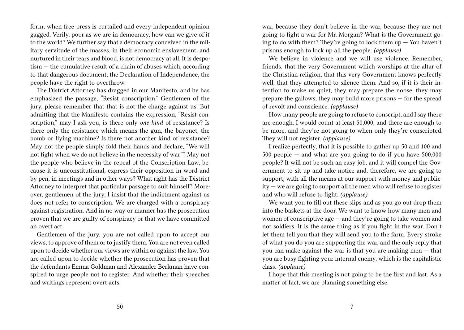form; when free press is curtailed and every independent opinion gagged. Verily, poor as we are in democracy, how can we give of it to the world? We further say that a democracy conceived in the military servitude of the masses, in their economic enslavement, and nurtured in their tears and blood, is not democracy at all. It is despotism — the cumulative result of a chain of abuses which, according to that dangerous document, the Declaration of Independence, the people have the right to overthrow.

The District Attorney has dragged in our Manifesto, and he has emphasized the passage, "Resist conscription." Gentlemen of the jury, please remember that that is not the charge against us. But admitting that the Manifesto contains the expression, "Resist conscription," may I ask you, is there only *one kind* of resistance? Is there only the resistance which means the gun, the bayonet, the bomb or flying machine? Is there not another kind of resistance? May not the people simply fold their hands and declare, "We will not fight when we do not believe in the necessity of war"? May not the people who believe in the repeal of the Conscription Law, because it is unconstitutional, express their opposition in word and by pen, in meetings and in other ways? What right has the District Attorney to interpret that particular passage to suit himself? Moreover, gentlemen of the jury, I insist that the indictment against us does not refer to conscription. We are charged with a conspiracy against registration. And in no way or manner has the prosecution proven that we are guilty of conspiracy or that we have committed an overt act.

Gentlemen of the jury, you are not called upon to accept our views, to approve of them or to justify them. You are not even called upon to decide whether our views are within or against the law. You are called upon to decide whether the prosecution has proven that the defendants Emma Goldman and Alexander Berkman have conspired to urge people not to register. And whether their speeches and writings represent overt acts.

war, because they don't believe in the war, because they are not going to fight a war for Mr. Morgan? What is the Government going to do with them? They're going to lock them  $up - You$  haven't prisons enough to lock up all the people. *(applause)*

We believe in violence and we will use violence. Remember, friends, that the very Government which worships at the altar of the Christian religion, that this very Government knows perfectly well, that they attempted to silence them. And so, if it is their intention to make us quiet, they may prepare the noose, they may prepare the gallows, they may build more prisons — for the spread of revolt and conscience. *(applause)*

How many people are going to refuse to conscript, and I say there are enough. I would count at least 50,000, and there are enough to be more, and they're not going to when only they're conscripted. They will not register. *(applause)*

I realize perfectly, that it is possible to gather up 50 and 100 and 500 people — and what are you going to do if you have 500,000 people? It will not be such an easy job, and it will compel the Government to sit up and take notice and, therefore, we are going to support, with all the means at our support with money and publicity — we are going to support all the men who will refuse to register and who will refuse to fight. *(applause)*

We want you to fill out these slips and as you go out drop them into the baskets at the door. We want to know how many men and women of conscriptive age — and they're going to take women and not soldiers. It is the same thing as if you fight in the war. Don't let them tell you that they will send you to the farm. Every stroke of what you do you are supporting the war, and the only reply that you can make against the war is that you are making men — that you are busy fighting your internal enemy, which is the capitalistic class. *(applause)*

I hope that this meeting is not going to be the first and last. As a matter of fact, we are planning something else.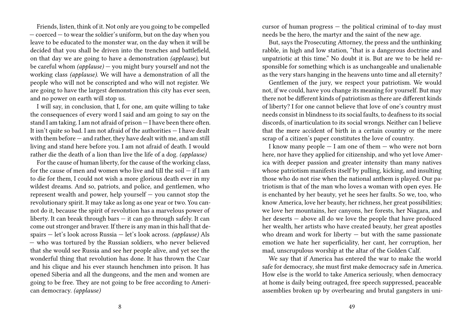Friends, listen, think of it. Not only are you going to be compelled — coerced — to wear the soldier's uniform, but on the day when you leave to be educated to the monster war, on the day when it will be decided that you shall be driven into the trenches and battlefield, on that day we are going to have a demonstration *(applause)*, but be careful whom *(applause)* — you might bury yourself and not the working class *(applause)*. We will have a demonstration of all the people who will not be conscripted and who will not register. We are going to have the largest demonstration this city has ever seen, and no power on earth will stop us.

I will say, in conclusion, that I, for one, am quite willing to take the consequences of every word I said and am going to say on the stand I am taking. I am not afraid of prison — I have been there often. It isn't quite so bad. I am not afraid of the authorities — I have dealt with them before — and rather, they have dealt with me, and am still living and stand here before you. I am not afraid of death. I would rather die the death of a lion than live the life of a dog. *(applause)*

For the cause of human liberty, for the cause of the working class, for the cause of men and women who live and till the soil  $-$  if I am to die for them, I could not wish a more glorious death ever in my wildest dreams. And so, patriots, and police, and gentlemen, who represent wealth and power, help yourself  $-$  you cannot stop the revolutionary spirit. It may take as long as one year or two. You cannot do it, because the spirit of revolution has a marvelous power of liberty. It can break through bars — it can go through safely. It can come out stronger and braver. If there is any man in this hall that despairs — let's look across Russia — let's look across. *(applause)* Als — who was tortured by the Russian soldiers, who never believed that she would see Russia and see her people alive, and yet see the wonderful thing that revolution has done. It has thrown the Czar and his clique and his ever staunch henchmen into prison. It has opened Siberia and all the dungeons, and the men and women are going to be free. They are not going to be free according to American democracy. *(applause)*

cursor of human progress — the political criminal of to-day must needs be the hero, the martyr and the saint of the new age.

But, says the Prosecuting Attorney, the press and the unthinking rabble, in high and low station, "that is a dangerous doctrine and unpatriotic at this time." No doubt it is. But are we to be held responsible for something which is as unchangeable and unalienable as the very stars hanging in the heavens unto time and all eternity?

Gentlemen of the jury, we respect your patriotism. We would not, if we could, have you change its meaning for yourself. But may there not be different kinds of patriotism as there are different kinds of liberty? I for one cannot believe that love of one's country must needs consist in blindness to its social faults, to deafness to its social discords, of inarticulation to its social wrongs. Neither can I believe that the mere accident of birth in a certain country or the mere scrap of a citizen's paper constitutes the love of country.

I know many people  $-$  I am one of them  $-$  who were not born here, nor have they applied for citizenship, and who yet love America with deeper passion and greater intensity than many natives whose patriotism manifests itself by pulling, kicking, and insulting those who do not rise when the national anthem is played. Our patriotism is that of the man who loves a woman with open eyes. He is enchanted by her beauty, yet he sees her faults. So we, too, who know America, love her beauty, her richness, her great possibilities; we love her mountains, her canyons, her forests, her Niagara, and her deserts — above all do we love the people that have produced her wealth, her artists who have created beauty, her great apostles who dream and work for liberty  $-$  but with the same passionate emotion we hate her superficiality, her cant, her corruption, her mad, unscrupulous worship at the altar of the Golden Calf.

We say that if America has entered the war to make the world safe for democracy, she must first make democracy safe in America. How else is the world to take America seriously, when democracy at home is daily being outraged, free speech suppressed, peaceable assemblies broken up by overbearing and brutal gangsters in uni-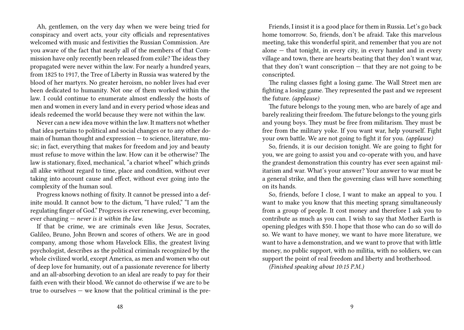Ah, gentlemen, on the very day when we were being tried for conspiracy and overt acts, your city officials and representatives welcomed with music and festivities the Russian Commission. Are you aware of the fact that nearly all of the members of that Commission have only recently been released from exile? The ideas they propagated were never within the law. For nearly a hundred years, from 1825 to 1917, the Tree of Liberty in Russia was watered by the blood of her martyrs. No greater heroism, no nobler lives had ever been dedicated to humanity. Not one of them worked within the law. I could continue to enumerate almost endlessly the hosts of men and women in every land and in every period whose ideas and ideals redeemed the world because they were not within the law.

Never can a new idea move within the law. It matters not whether that idea pertains to political and social changes or to any other domain of human thought and expression — to science, literature, music; in fact, everything that makes for freedom and joy and beauty must refuse to move within the law. How can it be otherwise? The law is stationary, fixed, mechanical, "a chariot wheel" which grinds all alike without regard to time, place and condition, without ever taking into account cause and effect, without ever going into the complexity of the human soul.

Progress knows nothing of fixity. It cannot be pressed into a definite mould. It cannot bow to the dictum, "I have ruled," "I am the regulating finger of God." Progress is ever renewing, ever becoming, ever changing — *never is it within the law*.

If that be crime, we are criminals even like Jesus, Socrates, Galileo, Bruno, John Brown and scores of others. We are in good company, among those whom Havelock Ellis, the greatest living psychologist, describes as the political criminals recognized by the whole civilized world, except America, as men and women who out of deep love for humanity, out of a passionate reverence for liberty and an all-absorbing devotion to an ideal are ready to pay for their faith even with their blood. We cannot do otherwise if we are to be true to ourselves — we know that the political criminal is the pre-

Friends, I insist it is a good place for them in Russia. Let's go back home tomorrow. So, friends, don't be afraid. Take this marvelous meeting, take this wonderful spirit, and remember that you are not alone — that tonight, in every city, in every hamlet and in every village and town, there are hearts beating that they don't want war, that they don't want conscription — that they are not going to be conscripted.

The ruling classes fight a losing game. The Wall Street men are fighting a losing game. They represented the past and we represent the future. *(applause)*

The future belongs to the young men, who are barely of age and barely realizing their freedom. The future belongs to the young girls and young boys. They must be free from militarism. They must be free from the military yoke. If you want war, help yourself. Fight your own battle. We are not going to fight it for you. *(applause)*

So, friends, it is our decision tonight. We are going to fight for you, we are going to assist you and co-operate with you, and have the grandest demonstration this country has ever seen against militarism and war. What's your answer? Your answer to war must be a general strike, and then the governing class will have something on its hands.

So, friends, before I close, I want to make an appeal to you. I want to make you know that this meeting sprang simultaneously from a group of people. It cost money and therefore I ask you to contribute as much as you can. I wish to say that Mother Earth is opening pledges with \$50. I hope that those who can do so will do so. We want to have money, we want to have more literature, we want to have a demonstration, and we want to prove that with little money, no public support, with no militia, with no soldiers, we can support the point of real freedom and liberty and brotherhood.

*(Finished speaking about 10:15 P.M.)*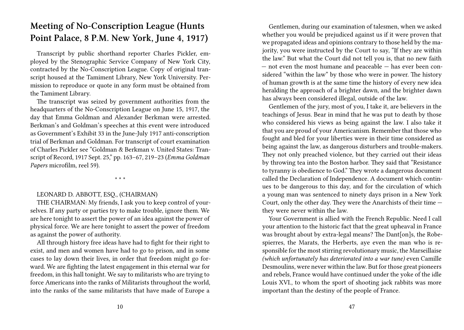#### **Meeting of No-Conscription League (Hunts Point Palace, 8 P.M. New York, June 4, 1917)**

Transcript by public shorthand reporter Charles Pickler, employed by the Stenographic Service Company of New York City, contracted by the No-Conscription League. Copy of original transcript housed at the Tamiment Library, New York University. Permission to reproduce or quote in any form must be obtained from the Tamiment Library.

The transcript was seized by government authorities from the headquarters of the No-Conscription League on June 15, 1917, the day that Emma Goldman and Alexander Berkman were arrested. Berkman's and Goldman's speeches at this event were introduced as Government's Exhibit 33 in the June-July 1917 anti-conscription trial of Berkman and Goldman. For transcript of court examination of Charles Pickler see "Goldman & Berkman v. United States: Transcript of Record, 1917 Sept. 25," pp. 163–67, 219–23 (*Emma Goldman Papers* microfilm, reel 59).

\* \* \*

#### LEONARD D. ABBOTT, ESQ., (CHAIRMAN)

THE CHAIRMAN: My friends, I ask you to keep control of yourselves. If any party or parties try to make trouble, ignore them. We are here tonight to assert the power of an idea against the power of physical force. We are here tonight to assert the power of freedom as against the power of authority.

All through history free ideas have had to fight for their right to exist, and men and women have had to go to prison, and in some cases to lay down their lives, in order that freedom might go forward. We are fighting the latest engagement in this eternal war for freedom, in this hall tonight. We say to militarists who are trying to force Americans into the ranks of Militarists throughout the world, into the ranks of the same militarists that have made of Europe a

Gentlemen, during our examination of talesmen, when we asked whether you would be prejudiced against us if it were proven that we propagated ideas and opinions contrary to those held by the majority, you were instructed by the Court to say, "If they are within the law." But what the Court did not tell you is, that no new faith — not even the most humane and peaceable — has ever been considered "within the law" by those who were in power. The history of human growth is at the same time the history of every new idea heralding the approach of a brighter dawn, and the brighter dawn has always been considered illegal, outside of the law.

Gentlemen of the jury, most of you, I take it, are believers in the teachings of Jesus. Bear in mind that he was put to death by those who considered his views as being against the law. I also take it that you are proud of your Americanism. Remember that those who fought and bled for your liberties were in their time considered as being against the law, as dangerous disturbers and trouble-makers. They not only preached violence, but they carried out their ideas by throwing tea into the Boston harbor. They said that "Resistance to tyranny is obedience to God." They wrote a dangerous document called the Declaration of Independence. A document which continues to be dangerous to this day, and for the circulation of which a young man was sentenced to ninety days prison in a New York Court, only the other day. They were the Anarchists of their time they were never within the law.

Your Government is allied with the French Republic. Need I call your attention to the historic fact that the great upheaval in France was brought about by extra-legal means? The Dant[on]s, the Robespierres, the Marats, the Herberts, aye even the man who is responsible for the most stirring revolutionary music, the Marseillaise *(which unfortunately has deteriorated into a war tune)* even Camille Desmoulins, were never within the law. But for those great pioneers and rebels, France would have continued under the yoke of the idle Louis XVI., to whom the sport of shooting jack rabbits was more important than the destiny of the people of France.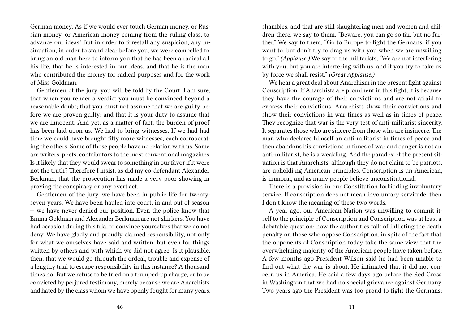German money. As if we would ever touch German money, or Russian money, or American money coming from the ruling class, to advance our ideas! But in order to forestall any suspicion, any insinuation, in order to stand clear before you, we were compelled to bring an old man here to inform you that he has been a radical all his life, that he is interested in our ideas, and that he is the man who contributed the money for radical purposes and for the work of Miss Goldman.

Gentlemen of the jury, you will be told by the Court, I am sure, that when you render a verdict you must be convinced beyond a reasonable doubt; that you must not assume that we are guilty before we are proven guilty; and that it is your duty to assume that we are innocent. And yet, as a matter of fact, the burden of proof has been laid upon us. We had to bring witnesses. If we had had time we could have brought fifty more witnesses, each corroborating the others. Some of those people have no relation with us. Some are writers, poets, contributors to the most conventional magazines. Is it likely that they would swear to something in our favor if it were not the truth? Therefore I insist, as did my co-defendant Alexander Berkman, that the prosecution has made a very poor showing in proving the conspiracy or any overt act.

Gentlemen of the jury, we have been in public life for twentyseven years. We have been hauled into court, in and out of season — we have never denied our position. Even the police know that Emma Goldman and Alexander Berkman are not shirkers. You have had occasion during this trial to convince yourselves that we do not deny. We have gladly and proudly claimed responsibility, not only for what we ourselves have said and written, but even for things written by others and with which we did not agree. Is it plausible, then, that we would go through the ordeal, trouble and expense of a lengthy trial to escape responsibility in this instance? A thousand times no! But we refuse to be tried on a trumped-up charge, or to be convicted by perjured testimony, merely because we are Anarchists and hated by the class whom we have openly fought for many years.

shambles, and that are still slaughtering men and women and children there, we say to them, "Beware, you can go so far, but no further." We say to them, "Go to Europe to fight the Germans, if you want to, but don't try to drag us with you when we are unwilling to go." *(Applause.)* We say to the militarists, "We are not interfering with you, but you are interfering with us, and if you try to take us by force we shall resist." *(Great Applause.)*

We hear a great deal about Anarchism in the present fight against Conscription. If Anarchists are prominent in this fight, it is because they have the courage of their convictions and are not afraid to express their convictions. Anarchists show their convictions and show their convictions in war times as well as in times of peace. They recognize that war is the very test of anti-militarist sincerity. It separates those who are sincere from those who are insincere. The man who declares himself an anti-militarist in times of peace and then abandons his convictions in times of war and danger is not an anti-militarist, he is a weakling. And the paradox of the present situation is that Anarchists, although they do not claim to be patriots, are upholdi ng American principles. Conscription is un-American, is immoral, and as many people believe unconstitutional.

There is a provision in our Constitution forbidding involuntary service. If conscription does not mean involuntary servitude, then I don't know the meaning of these two words.

A year ago, our American Nation was unwilling to commit itself to the principle of Conscription and Conscription was at least a debatable question; now the authorities talk of inflicting the death penalty on those who oppose Conscription, in spite of the fact that the opponents of Conscription today take the same view that the overwhelming majority of the American people have taken before. A few months ago President Wilson said he had been unable to find out what the war is about. He intimated that it did not concern us in America. He said a few days ago before the Red Cross in Washington that we had no special grievance against Germany. Two years ago the President was too proud to fight the Germans;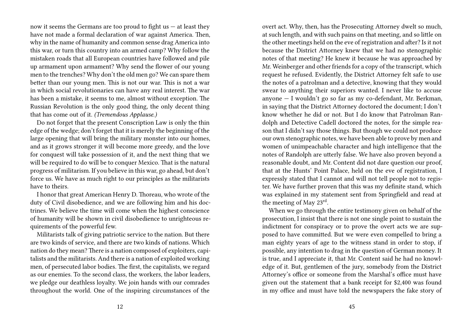now it seems the Germans are too proud to fight us  $-$  at least they have not made a formal declaration of war against America. Then, why in the name of humanity and common sense drag America into this war, or turn this country into an armed camp? Why follow the mistaken roads that all European countries have followed and pile up armament upon armament? Why send the flower of our young men to the trenches? Why don't the old men go? We can spare them better than our young men. This is not our war. This is not a war in which social revolutionaries can have any real interest. The war has been a mistake, it seems to me, almost without exception. The Russian Revolution is the only good thing, the only decent thing that has come out of it. *(Tremendous Applause.)*

Do not forget that the present Conscription Law is only the thin edge of the wedge; don't forget that it is merely the beginning of the large opening that will bring the military monster into our homes, and as it grows stronger it will become more greedy, and the love for conquest will take possession of it, and the next thing that we will be required to do will be to conquer Mexico. That is the natural progress of militarism. If you believe in this war, go ahead, but don't force us. We have as much right to our principles as the militarists have to theirs.

I honor that great American Henry D. Thoreau, who wrote of the duty of Civil disobedience, and we are following him and his doctrines. We believe the time will come when the highest conscience of humanity will be shown in civil disobedience to unrighteous requirements of the powerful few.

Militarists talk of giving patriotic service to the nation. But there are two kinds of service, and there are two kinds of nations. Which nation do they mean? There is a nation composed of exploiters, capitalists and the militarists. And there is a nation of exploited working men, of persecuted labor bodies. The first, the capitalists, we regard as our enemies. To the second class, the workers, the labor leaders, we pledge our deathless loyalty. We join hands with our comrades throughout the world. One of the inspiring circumstances of the

overt act. Why, then, has the Prosecuting Attorney dwelt so much, at such length, and with such pains on that meeting, and so little on the other meetings held on the eve of registration and after? Is it not because the District Attorney knew that we had no stenographic notes of that meeting? He knew it because he was approached by Mr. Weinberger and other friends for a copy of the transcript, which request he refused. Evidently, the District Attorney felt safe to use the notes of a patrolman and a detective, knowing that they would swear to anything their superiors wanted. I never like to accuse anyone — I wouldn't go so far as my co-defendant, Mr. Berkman, in saying that the District Attorney doctored the document; I don't know whether he did or not. But I do know that Patrolman Randolph and Detective Cadell doctored the notes, for the simple reason that I didn't say those things. But though we could not produce our own stenographic notes, we have been able to prove by men and women of unimpeachable character and high intelligence that the notes of Randolph are utterly false. We have also proven beyond a reasonable doubt, and Mr. Content did not dare question our proof, that at the Hunts' Point Palace, held on the eve of registration, I expressly stated that I cannot and will not tell people not to register. We have further proven that this was my definite stand, which was explained in my statement sent from Springfield and read at the meeting of May 23rd.

When we go through the entire testimony given on behalf of the prosecution, I insist that there is not one single point to sustain the indictment for conspiracy or to prove the overt acts we are supposed to have committed. But we were even compelled to bring a man eighty years of age to the witness stand in order to stop, if possible, any intention to drag in the question of German money. It is true, and I appreciate it, that Mr. Content said he had no knowledge of it. But, gentlemen of the jury, somebody from the District Attorney's office or someone from the Marshal's office must have given out the statement that a bank receipt for \$2,400 was found in my office and must have told the newspapers the fake story of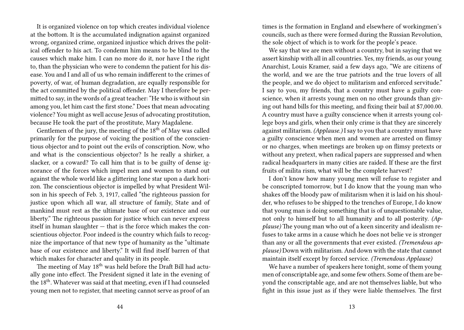It is organized violence on top which creates individual violence at the bottom. It is the accumulated indignation against organized wrong, organized crime, organized injustice which drives the political offender to his act. To condemn him means to be blind to the causes which make him. I can no more do it, nor have I the right to, than the physician who were to condemn the patient for his disease. You and I and all of us who remain indifferent to the crimes of poverty, of war, of human degradation, are equally responsible for the act committed by the political offender. May I therefore be permitted to say, in the words of a great teacher: "He who is without sin among you, let him cast the first stone." Does that mean advocating violence? You might as well accuse Jesus of advocating prostitution, because He took the part of the prostitute, Mary Magdalene.

Gentlemen of the jury, the meeting of the  $18<sup>th</sup>$  of May was called primarily for the purpose of voicing the position of the conscientious objector and to point out the evils of conscription. Now, who and what is the conscientious objector? Is he really a shirker, a slacker, or a coward? To call him that is to be guilty of dense ignorance of the forces which impel men and women to stand out against the whole world like a glittering lone star upon a dark horizon. The conscientious objector is impelled by what President Wilson in his speech of Feb. 3, 1917, called "the righteous passion for justice upon which all war, all structure of family, State and of mankind must rest as the ultimate base of our existence and our liberty." The righteous passion for justice which can never express itself in human slaughter — that is the force which makes the conscientious objector. Poor indeed is the country which fails to recognize the importance of that new type of humanity as the "ultimate base of our existence and liberty." It will find itself barren of that which makes for character and quality in its people.

The meeting of May 18<sup>th</sup> was held before the Draft Bill had actually gone into effect. The President signed it late in the evening of the 18<sup>th</sup>. Whatever was said at that meeting, even if I had counseled young men not to register, that meeting cannot serve as proof of an

times is the formation in England and elsewhere of workingmen's councils, such as there were formed during the Russian Revolution, the sole object of which is to work for the people's peace.

We say that we are men without a country, but in saying that we assert kinship with all in all countries. Yes, my friends, as our young Anarchist, Louis Kramer, said a few days ago, "We are citizens of the world, and we are the true patriots and the true lovers of all the people, and we do object to militarism and enforced servitude." I say to you, my friends, that a country must have a guilty conscience, when it arrests young men on no other grounds than giving out hand bills for this meeting, and fixing their bail at \$7,000.00. A country must have a guilty conscience when it arrests young college boys and girls, when their only crime is that they are sincerely against militarism. *(Applause.)* I say to you that a country must have a guilty conscience when men and women are arrested on flimsy or no charges, when meetings are broken up on flimsy pretexts or without any pretext, when radical papers are suppressed and when radical headquarters in many cities are raided. If these are the first fruits of milita rism, what will be the complete harvest?

I don't know how many young men will refuse to register and be conscripted tomorrow, but I do know that the young man who shakes off the bloody paw of militarism when it is laid on his shoulder, who refuses to be shipped to the trenches of Europe, I do know that young man is doing something that is of unquestionable value, not only to himself but to all humanity and to all posterity. *(Applause)* The young man who out of a keen sincerity and idealism refuses to take arms in a cause which he does not belie ve is stronger than any or all the governments that ever existed. *(Tremendous applause)* Down with militarism. And down with the state that cannot maintain itself except by forced service. *(Tremendous Applause)*

We have a number of speakers here tonight, some of them young men of conscriptable age, and some few others. Some of them are beyond the conscriptable age, and are not themselves liable, but who fight in this issue just as if they were liable themselves. The first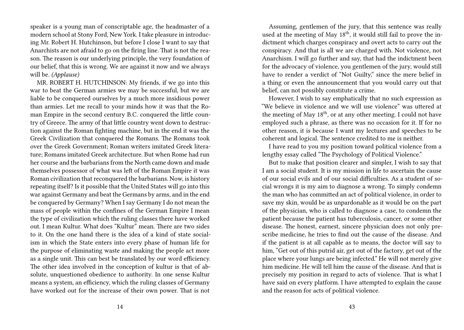speaker is a young man of conscriptable age, the headmaster of a modern school at Stony Ford, New York. I take pleasure in introducing Mr. Robert H. Hutchinson, but before I close I want to say that Anarchists are not afraid to go on the firing line. That is not the reason. The reason is our underlying principle, the very foundation of our belief, that this is wrong. We are against it now and we always will be. *(Applause)*

MR. ROBERT H. HUTCHINSON: My friends, if we go into this war to beat the German armies we may be successful, but we are liable to be conquered ourselves by a much more insidious power than armies. Let me recall to your minds how it was that the Roman Empire in the second century B.C. conquered the little country of Greece. The army of that little country went down to destruction against the Roman fighting machine, but in the end it was the Greek Civilization that conquered the Romans. The Romans took over the Greek Government; Roman writers imitated Greek literature; Romans imitated Greek architecture. But when Rome had run her course and the barbarians from the North came down and made themselves possessor of what was left of the Roman Empire it was Roman civilization that reconquered the barbarians. Now, is history repeating itself? Is it possible that the United States will go into this war against Germany and beat the Germans by arms, and in the end be conquered by Germany? When I say Germany I do not mean the mass of people within the confines of the German Empire I mean the type of civilization which the ruling classes there have worked out. I mean Kultur. What does "Kultur" mean. There are two sides to it. On the one hand there is the idea of a kind of state socialism in which the State enters into every phase of human life for the purpose of eliminating waste and making the people act more as a single unit. This can best be translated by our word efficiency. The other idea involved in the conception of kultur is that of absolute, unquestioned obedience to authority. In one sense Kultur means a system, an efficiency, which the ruling classes of Germany have worked out for the increase of their own power. That is not

Assuming, gentlemen of the jury, that this sentence was really used at the meeting of May  $18<sup>th</sup>$ , it would still fail to prove the indictment which charges conspiracy and overt acts to carry out the conspiracy. And that is all we are charged with. Not violence, not Anarchism. I will go further and say, that had the indictment been for the advocacy of violence, you gentlemen of the jury, would still have to render a verdict of "Not Guilty," since the mere belief in a thing or even the announcement that you would carry out that belief, can not possibly constitute a crime.

However, I wish to say emphatically that no such expression as "We believe in violence and we will use violence" was uttered at the meeting of May  $18^{th}$ , or at any other meeting. I could not have employed such a phrase, as there was no occasion for it. If for no other reason, it is because I want my lectures and speeches to be coherent and logical. The sentence credited to me is neither.

I have read to you my position toward political violence from a lengthy essay called "The Psychology of Political Violence."

But to make that position clearer and simpler, I wish to say that I am a social student. It is my mission in life to ascertain the cause of our social evils and of our social difficulties. As a student of social wrongs it is my aim to diagnose a wrong. To simply condemn the man who has committed an act of political violence, in order to save my skin, would be as unpardonable as it would be on the part of the physician, who is called to diagnose a case, to condemn the patient because the patient has tuberculosis, cancer, or some other disease. The honest, earnest, sincere physician does not only prescribe medicine, he tries to find out the cause of the disease. And if the patient is at all capable as to means, the doctor will say to him, "Get out of this putrid air, get out of the factory, get out of the place where your lungs are being infected." He will not merely give him medicine. He will tell him the cause of the disease. And that is precisely my position in regard to acts of violence. That is what I have said on every platform. I have attempted to explain the cause and the reason for acts of political violence.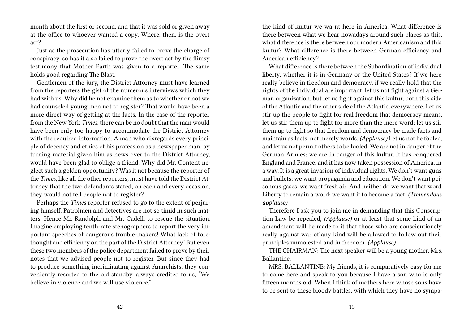month about the first or second, and that it was sold or given away at the office to whoever wanted a copy. Where, then, is the overt act?

Just as the prosecution has utterly failed to prove the charge of conspiracy, so has it also failed to prove the overt act by the flimsy testimony that Mother Earth was given to a reporter. The same holds good regarding The Blast.

Gentlemen of the jury, the District Attorney must have learned from the reporters the gist of the numerous interviews which they had with us. Why did he not examine them as to whether or not we had counseled young men not to register? That would have been a more direct way of getting at the facts. In the case of the reporter from the New York *Times*, there can be no doubt that the man would have been only too happy to accommodate the District Attorney with the required information. A man who disregards every principle of decency and ethics of his profession as a newspaper man, by turning material given him as news over to the District Attorney, would have been glad to oblige a friend. Why did Mr. Content neglect such a golden opportunity? Was it not because the reporter of the *Times*, like all the other reporters, must have told the District Attorney that the two defendants stated, on each and every occasion, they would not tell people not to register?

Perhaps the *Times* reporter refused to go to the extent of perjuring himself. Patrolmen and detectives are not so timid in such matters. Hence Mr. Randolph and Mr. Cadell, to rescue the situation. Imagine employing tenth-rate stenographers to report the very important speeches of dangerous trouble-makers! What lack of forethought and efficiency on the part of the District Attorney! But even these two members of the police department failed to prove by their notes that we advised people not to register. But since they had to produce something incriminating against Anarchists, they conveniently resorted to the old standby, always credited to us, "We believe in violence and we will use violence"

the kind of kultur we wa nt here in America. What difference is there between what we hear nowadays around such places as this, what difference is there between our modern Americanism and this kultur? What difference is there between German efficiency and American efficiency?

What difference is there between the Subordination of individual liberty, whether it is in Germany or the United States? If we here really believe in freedom and democracy, if we really hold that the rights of the individual are important, let us not fight against a German organization, but let us fight against this kultur, both this side of the Atlantic and the other side of the Atlantic, everywhere. Let us stir up the people to fight for real freedom that democracy means, let us stir them up to fight for more than the mere word; let us stir them up to fight so that freedom and democracy be made facts and maintain as facts, not merely words. *(Applause)* Let us not be fooled, and let us not permit others to be fooled. We are not in danger of the German Armies; we are in danger of this kultur. It has conquered England and France, and it has now taken possession of America, in a way. It is a great invasion of individual rights. We don't want guns and bullets; we want propaganda and education. We don't want poisonous gases, we want fresh air. And neither do we want that word Liberty to remain a word; we want it to become a fact. *(Tremendous applause)*

Therefore I ask you to join me in demanding that this Conscription Law be repealed, *(Applause)* or at least that some kind of an amendment will be made to it that those who are conscientiously really against war of any kind will be allowed to follow out their principles unmolested and in freedom. *(Applause)*

THE CHAIRMAN: The next speaker will be a young mother, Mrs. Ballantine.

MRS. BALLANTINE: My friends, it is comparatively easy for me to come here and speak to you because I have a son who is only fifteen months old. When I think of mothers here whose sons have to be sent to these bloody battles, with which they have no sympa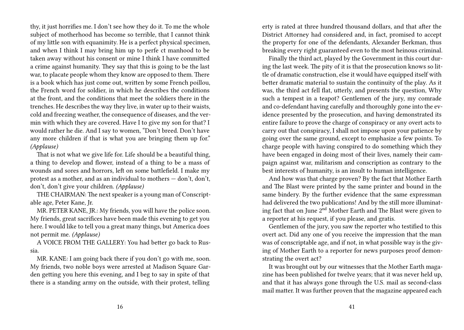thy, it just horrifies me. I don't see how they do it. To me the whole subject of motherhood has become so terrible, that I cannot think of my little son with equanimity. He is a perfect physical specimen, and when I think I may bring him up to perfe ct manhood to be taken away without his consent or mine I think I have committed a crime against humanity. They say that this is going to be the last war, to placate people whom they know are opposed to them. There is a book which has just come out, written by some French poillou, the French word for soldier, in which he describes the conditions at the front, and the conditions that meet the soldiers there in the trenches. He describes the way they live, in water up to their waists, cold and freezing weather, the consequence of diseases, and the vermin with which they are covered. Have I to give my son for that? I would rather he die. And I say to women, "Don't breed. Don't have any more children if that is what you are bringing them up for." *(Applause)*

That is not what we give life for. Life should be a beautiful thing, a thing to develop and flower, instead of a thing to be a mass of wounds and sores and horrors, left on some battlefield. I make my protest as a mother, and as an individual to mothers — don't, don't, don't, don't give your children. *(Applause)*

THE CHAIRMAN: The next speaker is a young man of Conscriptable age, Peter Kane, Jr.

MR. PETER KANE, JR.: My friends, you will have the police soon. My friends, great sacrifices have been made this evening to get you here. I would like to tell you a great many things, but America does not permit me. *(Applause)*

A VOICE FROM THE GALLERY: You had better go back to Russia.

MR. KANE: I am going back there if you don't go with me, soon. My friends, two noble boys were arrested at Madison Square Garden getting you here this evening, and I beg to say in spite of that there is a standing army on the outside, with their protest, telling

erty is rated at three hundred thousand dollars, and that after the District Attorney had considered and, in fact, promised to accept the property for one of the defendants, Alexander Berkman, thus breaking every right guaranteed even to the most heinous criminal.

Finally the third act, played by the Government in this court during the last week. The pity of it is that the prosecution knows so little of dramatic construction, else it would have equipped itself with better dramatic material to sustain the continuity of the play. As it was, the third act fell flat, utterly, and presents the question, Why such a tempest in a teapot? Gentlemen of the jury, my comrade and co-defendant having carefully and thoroughly gone into the evidence presented by the prosecution, and having demonstrated its entire failure to prove the charge of conspiracy or any overt acts to carry out that conspiracy, I shall not impose upon your patience by going over the same ground, except to emphasize a few points. To charge people with having conspired to do something which they have been engaged in doing most of their lives, namely their campaign against war, militarism and conscription as contrary to the best interests of humanity, is an insult to human intelligence.

And how was that charge proven? By the fact that Mother Earth and The Blast were printed by the same printer and bound in the same bindery. By the further evidence that the same expressman had delivered the two publications! And by the still more illuminating fact that on June 2nd Mother Earth and The Blast were given to a reporter at his request, if you please, and gratis.

Gentlemen of the jury, you saw the reporter who testified to this overt act. Did any one of you receive the impression that the man was of conscriptable age, and if not, in what possible way is the giving of Mother Earth to a reporter for news purposes proof demonstrating the overt act?

It was brought out by our witnesses that the Mother Earth magazine has been published for twelve years; that it was never held up, and that it has always gone through the U.S. mail as second-class mail matter. It was further proven that the magazine appeared each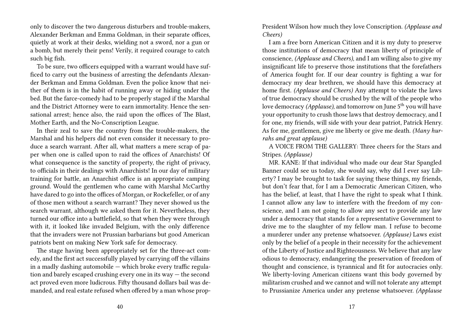only to discover the two dangerous disturbers and trouble-makers, Alexander Berkman and Emma Goldman, in their separate offices, quietly at work at their desks, wielding not a sword, nor a gun or a bomb, but merely their pens! Verily, it required courage to catch such big fish.

To be sure, two officers equipped with a warrant would have sufficed to carry out the business of arresting the defendants Alexander Berkman and Emma Goldman. Even the police know that neither of them is in the habit of running away or hiding under the bed. But the farce-comedy had to be properly staged if the Marshal and the District Attorney were to earn immortality. Hence the sensational arrest; hence also, the raid upon the offices of The Blast, Mother Earth, and the No-Conscription League.

In their zeal to save the country from the trouble-makers, the Marshal and his helpers did not even consider it necessary to produce a search warrant. After all, what matters a mere scrap of paper when one is called upon to raid the offices of Anarchists! Of what consequence is the sanctity of property, the right of privacy, to officials in their dealings with Anarchists! In our day of military training for battle, an Anarchist office is an appropriate camping ground. Would the gentlemen who came with Marshal McCarthy have dared to go into the offices of Morgan, or Rockefeller, or of any of those men without a search warrant? They never showed us the search warrant, although we asked them for it. Nevertheless, they turned our office into a battlefield, so that when they were through with it, it looked like invaded Belgium, with the only difference that the invaders were not Prussian barbarians but good American patriots bent on making New York safe for democracy.

The stage having been appropriately set for the three-act comedy, and the first act successfully played by carrying off the villains in a madly dashing automobile — which broke every traffic regulation and barely escaped crushing every one in its way — the second act proved even more ludicrous. Fifty thousand dollars bail was demanded, and real estate refused when offered by a man whose propPresident Wilson how much they love Conscription. *(Applause and Cheers)*

I am a free born American Citizen and it is my duty to preserve those institutions of democracy that mean liberty of principle of conscience, *(Applause and Cheers)*, and I am willing also to give my insignificant life to preserve those institutions that the forefathers of America fought for. If our dear country is fighting a war for democracy my dear brethren, we should have this democracy at home first. *(Applause and Cheers)* Any attempt to violate the laws of true democracy should be crushed by the will of the people who love democracy *(Applause)*, and tomorrow on June 5<sup>th</sup> you will have your opportunity to crush those laws that destroy democracy, and I for one, my friends, will side with your dear patriot, Patrick Henry. As for me, gentlemen, give me liberty or give me death. *(Many hurrahs and great applause)*

A VOICE FROM THE GALLERY: Three cheers for the Stars and Stripes. *(Applause)*

MR. KANE: If that individual who made our dear Star Spangled Banner could see us today, she would say, why did I ever say Liberty? I may be brought to task for saying these things, my friends, but don't fear that, for I am a Democratic American Citizen, who has the belief, at least, that I have the right to speak what I think. I cannot allow any law to interfere with the freedom of my conscience, and I am not going to allow any sect to provide any law under a democracy that stands for a representative Government to drive me to the slaughter of my fellow man. I refuse to become a murderer under any pretense whatsoever. *(Applause)* Laws exist only by the belief of a people in their necessity for the achievement of the Liberty of Justice and Righteousness. We believe that any law odious to democracy, endangering the preservation of freedom of thought and conscience, is tyrannical and fit for autocracies only. We liberty-loving American citizens want this body governed by militarism crushed and we cannot and will not tolerate any attempt to Prussianize America under any pretense whatsoever. *(Applause*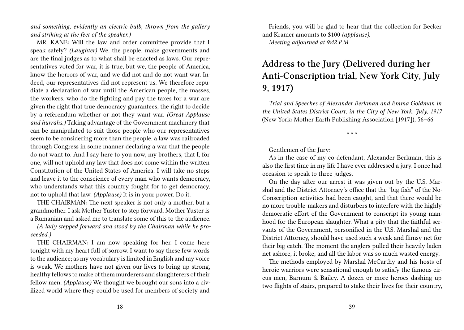*and something, evidently an electric bulb, thrown from the gallery and striking at the feet of the speaker.)*

MR. KANE: Will the law and order committee provide that I speak safely? *(Laughter)* We, the people, make governments and are the final judges as to what shall be enacted as laws. Our representatives voted for war, it is true, but we, the people of America, know the horrors of war, and we did not and do not want war. Indeed, our representatives did not represent us. We therefore repudiate a declaration of war until the American people, the masses, the workers, who do the fighting and pay the taxes for a war are given the right that true democracy guarantees, the right to decide by a referendum whether or not they want war. *(Great Applause and hurrahs.)* Taking advantage of the Government machinery that can be manipulated to suit those people who our representatives seem to be considering more than the people, a law was railroaded through Congress in some manner declaring a war that the people do not want to. And I say here to you now, my brothers, that I, for one, will not uphold any law that does not come within the written Constitution of the United States of America. I will take no steps and leave it to the conscience of every man who wants democracy, who understands what this country fought for to get democracy, not to uphold that law. *(Applause)* It is in your power. Do it.

THE CHAIRMAN: The next speaker is not only a mother, but a grandmother. I ask Mother Yuster to step forward. Mother Yuster is a Rumanian and asked me to translate some of this to the audience.

*(A lady stepped forward and stood by the Chairman while he proceeded.)*

THE CHAIRMAN: I am now speaking for her. I come here tonight with my heart full of sorrow. I want to say these few words to the audience; as my vocabulary is limited in English and my voice is weak. We mothers have not given our lives to bring up strong, healthy fellows to make of them murderers and slaughterers of their fellow men. *(Applause)* We thought we brought our sons into a civilized world where they could be used for members of society and

Friends, you will be glad to hear that the collection for Becker and Kramer amounts to \$100 *(applause)*.

*Meeting adjourned at 9:42 P.M.*

### **Address to the Jury (Delivered during her Anti-Conscription trial, New York City, July 9, 1917)**

*Trial and Speeches of Alexander Berkman and Emma Goldman in the United States District Court, in the City of New York, July, 1917* (New York: Mother Earth Publishing Association [1917]), 56–66

\* \* \*

Gentlemen of the Jury:

As in the case of my co-defendant, Alexander Berkman, this is also the first time in my life I have ever addressed a jury. I once had occasion to speak to three judges.

On the day after our arrest it was given out by the U.S. Marshal and the District Attorney's office that the "big fish" of the No-Conscription activities had been caught, and that there would be no more trouble-makers and disturbers to interfere with the highly democratic effort of the Government to conscript its young manhood for the European slaughter. What a pity that the faithful servants of the Government, personified in the U.S. Marshal and the District Attorney, should have used such a weak and flimsy net for their big catch. The moment the anglers pulled their heavily laden net ashore, it broke, and all the labor was so much wasted energy.

The methods employed by Marshal McCarthy and his hosts of heroic warriors were sensational enough to satisfy the famous circus men, Barnum & Bailey. A dozen or more heroes dashing up two flights of stairs, prepared to stake their lives for their country,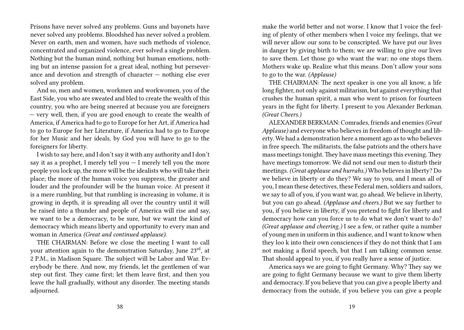Prisons have never solved any problems. Guns and bayonets have never solved any problems. Bloodshed has never solved a problem. Never on earth, men and women, have such methods of violence, concentrated and organized violence, ever solved a single problem. Nothing but the human mind, nothing but human emotions, nothing but an intense passion for a great ideal, nothing but perseverance and devotion and strength of character — nothing else ever solved any problem.

And so, men and women, workmen and workwomen, you of the East Side, you who are sweated and bled to create the wealth of this country, you who are being sneered at because you are foreigners — very well, then, if you are good enough to create the wealth of America, if America had to go to Europe for her Art, if America had to go to Europe for her Literature, if America had to go to Europe for her Music and her ideals, by God you will have to go to the foreigners for liberty.

I wish to say here, and I don't say it with any authority and I don't say it as a prophet, I merely tell you  $-$  I merely tell you the more people you lock up, the more will be the idealists who will take their place; the more of the human voice you suppress, the greater and louder and the profounder will be the human voice. At present it is a mere rumbling, but that rumbling is increasing in volume, it is growing in depth, it is spreading all over the country until it will be raised into a thunder and people of America will rise and say, we want to be a democracy, to be sure, but we want the kind of democracy which means liberty and opportunity to every man and woman in America *(Great and continued applause)*.

THE CHAIRMAN: Before we close the meeting I want to call your attention again to the demonstration Saturday, June 23<sup>rd</sup>, at 2 P.M., in Madison Square. The subject will be Labor and War. Everybody be there. And now, my friends, let the gentlemen of war step out first. They came first; let them leave first, and then you leave the hall gradually, without any disorder. The meeting stands adjourned.

make the world better and not worse. I know that I voice the feeling of plenty of other members when I voice my feelings, that we will never allow our sons to be conscripted. We have put our lives in danger by giving birth to them; we are willing to give our lives to save them. Let those go who want the war; no one stops them. Mothers wake up. Realize what this means. Don't allow your sons to go to the war. *(Applause)*

THE CHAIRMAN: The next speaker is one you all know, a life long fighter, not only against militarism, but against everything that crushes the human spirit, a man who went to prison for fourteen years in the fight for liberty. I present to you Alexander Berkman. *(Great Cheers.)*

ALEXANDER BERKMAN: Comrades, friends and enemies*(Great Applause)* and everyone who believes in freedom of thought and liberty. We had a demonstration here a moment ago as to who believes in free speech. The militarists, the false patriots and the others have mass meetings tonight. They have mass meetings this evening. They have meetings tomorrow. We did not send our men to disturb their meetings. *(Great applause and hurrahs.)* Who believes in liberty? Do we believe in liberty or do they? We say to you, and I mean all of you, I mean these detectives, these Federal men, soldiers and sailors, we say to all of you, if you want war, go ahead. We believe in liberty, but you can go ahead. *(Applause and cheers.)* But we say further to you, if you believe in liberty, if you pretend to fight for liberty and democracy how can you force us to do what we don't want to do? *(Great applause and cheering.)* I see a few, or rather quite a number of young men in uniform in this audience, and I want to know when they loo k into their own consciences if they do not think that I am not making a florid speech, but that I am talking common sense. That should appeal to you, if you really have a sense of justice.

America says we are going to fight Germany. Why? They say we are going to fight Germany because we want to give them liberty and democracy. If you believe that you can give a people liberty and democracy from the outside, if you believe you can give a people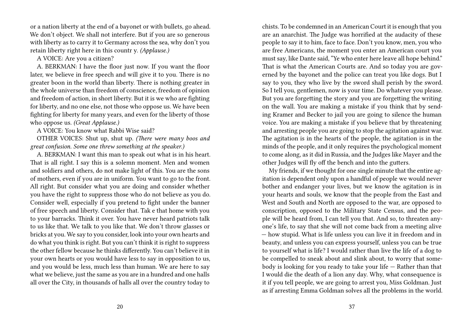or a nation liberty at the end of a bayonet or with bullets, go ahead. We don't object. We shall not interfere. But if you are so generous with liberty as to carry it to Germany across the sea, why don't you retain liberty right here in this countr y. *(Applause.)*

A VOICE: Are you a citizen?

A. BERKMAN: I have the floor just now. If you want the floor later, we believe in free speech and will give it to you. There is no greater boon in the world than liberty. There is nothing greater in the whole universe than freedom of conscience, freedom of opinion and freedom of action, in short liberty. But it is we who are fighting for liberty, and no one else, not those who oppose us. We have been fighting for liberty for many years, and even for the liberty of those who oppose us. *(Great Applause.)*

A VOICE: You know what Rabbi Wise said?

OTHER VOICES: Shut up, shut up. *(There were many boos and great confusion. Some one threw something at the speaker.)*

A. BERKMAN: I want this man to speak out what is in his heart. That is all right. I say this is a solemn moment. Men and women and soldiers and others, do not make light of this. You are the sons of mothers, even if you are in uniform. You want to go to the front. All right. But consider what you are doing and consider whether you have the right to suppress those who do not believe as you do. Consider well, especially if you pretend to fight under the banner of free speech and liberty. Consider that. Tak e that home with you to your barracks. Think it over. You have never heard patriots talk to us like that. We talk to you like that. We don't throw glasses or bricks at you. We say to you consider, look into your own hearts and do what you think is right. But you can't think it is right to suppress the other fellow because he thinks differently. You can't believe it in your own hearts or you would have less to say in opposition to us, and you would be less, much less than human. We are here to say what we believe, just the same as you are in a hundred and one halls all over the City, in thousands of halls all over the country today to

chists. To be condemned in an American Court it is enough that you are an anarchist. The Judge was horrified at the audacity of these people to say it to him, face to face. Don't you know, men, you who are free Americans, the moment you enter an American court you must say, like Dante said, "Ye who enter here leave all hope behind." That is what the American Courts are. And so today you are governed by the bayonet and the police can treat you like dogs. But I say to you, they who live by the sword shall perish by the sword. So I tell you, gentlemen, now is your time. Do whatever you please. But you are forgetting the story and you are forgetting the writing on the wall. You are making a mistake if you think that by sending Kramer and Becker to jail you are going to silence the human voice. You are making a mistake if you believe that by threatening and arresting people you are going to stop the agitation against war. The agitation is in the hearts of the people, the agitation is in the minds of the people, and it only requires the psychological moment to come along, as it did in Russia, and the Judges like Mayer and the other Judges will fly off the bench and into the gutters.

My friends, if we thought for one single minute that the entire agitation is dependent only upon a handful of people we would never bother and endanger your lives, but we know the agitation is in your hearts and souls, we know that the people from the East and West and South and North are opposed to the war, are opposed to conscription, opposed to the Military State Census, and the people will be heard from, I can tell you that. And so, to threaten anyone's life, to say that she will not come back from a meeting alive — how stupid. What is life unless you can live it in freedom and in beauty, and unless you can express yourself, unless you can be true to yourself what is life? I would rather than live the life of a dog to be compelled to sneak about and slink about, to worry that somebody is looking for you ready to take your life — Rather than that I would die the death of a lion any day. Why, what consequence is it if you tell people, we are going to arrest you, Miss Goldman. Just as if arresting Emma Goldman solves all the problems in the world.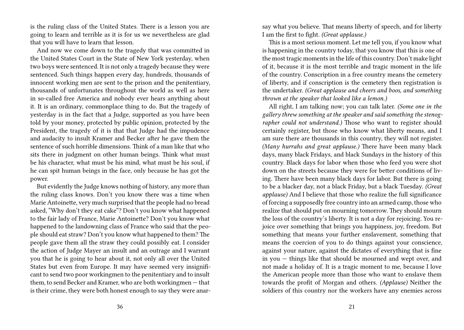is the ruling class of the United States. There is a lesson you are going to learn and terrible as it is for us we nevertheless are glad that you will have to learn that lesson.

And now we come down to the tragedy that was committed in the United States Court in the State of New York yesterday, when two boys were sentenced. It is not only a tragedy because they were sentenced. Such things happen every day, hundreds, thousands of innocent working men are sent to the prison and the penitentiary, thousands of unfortunates throughout the world as well as here in so-called free America and nobody ever hears anything about it. It is an ordinary, commonplace thing to do. But the tragedy of yesterday is in the fact that a Judge, supported as you have been told by your money, protected by public opinion, protected by the President, the tragedy of it is that that Judge had the impudence and audacity to insult Kramer and Becker after he gave them the sentence of such horrible dimensions. Think of a man like that who sits there in judgment on other human beings. Think what must be his character, what must be his mind, what must be his soul, if he can spit human beings in the face, only because he has got the power.

But evidently the Judge knows nothing of history, any more than the ruling class knows. Don't you know there was a time when Marie Antoinette, very much surprised that the people had no bread asked, "Why don't they eat cake"? Don't you know what happened to the fair lady of France, Marie Antoinette? Don't you know what happened to the landowning class of France who said that the people should eat straw? Don't you know what happened to them? The people gave them all the straw they could possibly eat. I consider the action of Judge Mayer an insult and an outrage and I warrant you that he is going to hear about it, not only all over the United States but even from Europe. It may have seemed very insignificant to send two poor workingmen to the penitentiary and to insult them, to send Becker and Kramer, who are both workingmen — that is their crime, they were both honest enough to say they were anar-

say what you believe. That means liberty of speech, and for liberty I am the first to fight. *(Great applause.)*

This is a most serious moment. Let me tell you, if you know what is happening in the country today, that you know that this is one of the most tragic moments in the life of this country. Don't make light of it, because it is the most terrible and tragic moment in the life of the country. Conscription in a free country means the cemetery of liberty, and if conscription is the cemetery then registration is the undertaker. *(Great applause and cheers and boos, and something thrown at the speaker that looked like a lemon.)*

All right, I am talking now; you can talk later. *(Some one in the gallery threw something at the speaker and said something the stenographer could not understand.)* Those who want to register should certainly register, but those who know what liberty means, and I am sure there are thousands in this country, they will not register. *(Many hurrahs and great applause.)* There have been many black days, many black Fridays, and black Sundays in the history of this country. Black days for labor when those who feed you were shot down on the streets because they were for better conditions of living. There have been many black days for labor. But there is going to be a blacker day, not a black Friday, but a black Tuesday. *(Great applause)* And I believe that those who realize the full significance of forcing a supposedly free country into an armed camp, those who realize that should put on mourning tomorrow. They should mourn the loss of the country's liberty. It is not a day for rejoicing. You rejoice over something that brings you happiness, joy, freedom. But something that means your further enslavement, something that means the coercion of you to do things against your conscience, against your nature, against the dictates of everything that is fine in you — things like that should be mourned and wept over, and not made a holiday of. It is a tragic moment to me, because I love the American people more than those who want to enslave them towards the profit of Morgan and others. *(Applause)* Neither the soldiers of this country nor the workers have any enemies across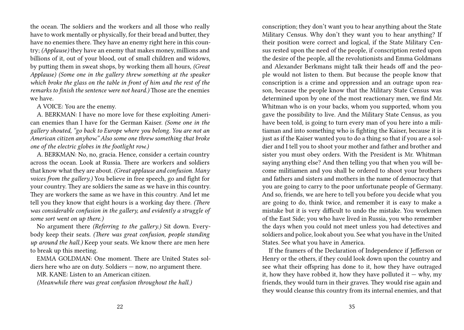the ocean. The soldiers and the workers and all those who really have to work mentally or physically, for their bread and butter, they have no enemies there. They have an enemy right here in this country; *(Applause)* they have an enemy that makes money, millions and billions of it, out of your blood, out of small children and widows, by putting them in sweat shops, by working them all hours, *(Great Applause) (Some one in the gallery threw something at the speaker which broke the glass on the table in front of him and the rest of the remarks to finish the sentence were not heard.)* Those are the enemies we have.

A VOICE: You are the enemy.

A. BERKMAN: I have no more love for these exploiting American enemies than I have for the German Kaiser. *(Some one in the gallery shouted, "go back to Europe where you belong. You are not an American citizen anyhow." Also some one threw something that broke one of the electric globes in the footlight row.)*

A. BERKMAN: No, no, gracia. Hence, consider a certain country across the ocean. Look at Russia. There are workers and soldiers that know what they are about. *(Great applause and confusion. Many voices from the gallery.)* You believe in free speech, go and fight for your country. They are soldiers the same as we have in this country. They are workers the same as we have in this country. And let me tell you they know that eight hours is a working day there. *(There was considerable confusion in the gallery, and evidently a struggle of some sort went on up there.)*

No argument there *(Referring to the gallery.)* Sit down. Everybody keep their seats. *(There was great confusion, people standing up around the hall.)* Keep your seats. We know there are men here to break up this meeting.

EMMA GOLDMAN: One moment. There are United States soldiers here who are on duty. Soldiers — now, no argument there.

MR. KANE: Listen to an American citizen.

*(Meanwhile there was great confusion throughout the hall.)*

conscription; they don't want you to hear anything about the State Military Census. Why don't they want you to hear anything? If their position were correct and logical, if the State Military Census rested upon the need of the people, if conscription rested upon the desire of the people, all the revolutionists and Emma Goldmans and Alexander Berkmans might talk their heads off and the people would not listen to them. But because the people know that conscription is a crime and oppression and an outrage upon reason, because the people know that the Military State Census was determined upon by one of the most reactionary men, we find Mr. Whitman who is on your backs, whom you supported, whom you gave the possibility to live. And the Military State Census, as you have been told, is going to turn every man of you here into a militiaman and into something who is fighting the Kaiser, because it is just as if the Kaiser wanted you to do a thing so that if you are a soldier and I tell you to shoot your mother and father and brother and sister you must obey orders. With the President is Mr. Whitman saying anything else? And then telling you that when you will become militiamen and you shall be ordered to shoot your brothers and fathers and sisters and mothers in the name of democracy that you are going to carry to the poor unfortunate people of Germany. And so, friends, we are here to tell you before you decide what you are going to do, think twice, and remember it is easy to make a mistake but it is very difficult to undo the mistake. You workmen of the East Side; you who have lived in Russia, you who remember the days when you could not meet unless you had detectives and soldiers and police, look about you. See what you have in the United States. See what you have in America.

If the framers of the Declaration of Independence if Jefferson or Henry or the others, if they could look down upon the country and see what their offspring has done to it, how they have outraged it, how they have robbed it, how they have polluted it  $-$  why, my friends, they would turn in their graves. They would rise again and they would cleanse this country from its internal enemies, and that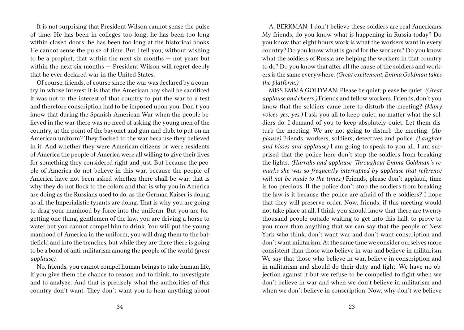It is not surprising that President Wilson cannot sense the pulse of time. He has been in colleges too long; he has been too long within closed doors; he has been too long at the historical books. He cannot sense the pulse of time. But I tell you, without wishing to be a prophet, that within the next six months — not years but within the next six months — President Wilson will regret deeply that he ever declared war in the United States.

Of course, friends, of course since the war was declared by a country in whose interest it is that the American boy shall be sacrificed it was not to the interest of that country to put the war to a test and therefore conscription had to be imposed upon you. Don't you know that during the Spanish-American War when the people believed in the war there was no need of asking the young men of the country, at the point of the bayonet and gun and club, to put on an American uniform? They flocked to the war beca use they believed in it. And whether they were American citizens or were residents of America the people of America were all willing to give their lives for something they considered right and just. But because the people of America do not believe in this war, because the people of America have not been asked whether there shall be war, that is why they do not flock to the colors and that is why you in America are doing as the Russians used to do, as the German Kaiser is doing, as all the Imperialistic tyrants are doing. That is why you are going to drag your manhood by force into the uniform. But you are forgetting one thing, gentlemen of the law, you are driving a horse to water but you cannot compel him to drink. You will put the young manhood of America in the uniform, you will drag them to the battlefield and into the trenches, but while they are there there is going to be a bond of anti-militarism among the people of the world *(great applause)*.

No, friends, you cannot compel human beings to take human life, if you give them the chance to reason and to think, to investigate and to analyze. And that is precisely what the authorities of this country don't want. They don't want you to hear anything about

A. BERKMAN: I don't believe these soldiers are real Americans. My friends, do you know what is happening in Russia today? Do you know that eight hours work is what the workers want in every country? Do you know what is good for the workers? Do you know what the soldiers of Russia are helping the workers in that country to do? Do you know that after all the cause of the soldiers and workers is the same everywhere. *(Great excitement, Emma Goldman takes the platform.)*

MISS EMMA GOLDMAN: Please be quiet; please be quiet. *(Great applause and cheers.)* Friends and fellow workers. Friends, don't you know that the soldiers came here to disturb the meeting? *(Many voices yes, yes.)* I ask you all to keep quiet, no matter what the soldiers do. I demand of you to keep absolutely quiet. Let them disturb the meeting. We are not going to disturb the meeting. *(Applause)* Friends, workers, soldiers, detectives and police. *(Laughter and hisses and applause)* I am going to speak to you all. I am surprised that the police here don't stop the soldiers from breaking the lights. *(Hurrahs and applause. Throughout Emma Goldman's remarks she was so frequently interrupted by applause that reference will not be made to the times.)* Friends, please don't applaud, time is too precious. If the police don't stop the soldiers from breaking the law is it because the police are afraid of th e soldiers? I hope that they will preserve order. Now, friends, if this meeting would not take place at all, I think you should know that there are twenty thousand people outside waiting to get into this hall, to prove to you more than anything that we can say that the people of New York who think, don't want war and don't want conscription and don't want militarism. At the same time we consider ourselves more consistent than those who believe in war and believe in militarism. We say that those who believe in war, believe in conscription and in militarism and should do their duty and fight. We have no objection against it but we refuse to be compelled to fight when we don't believe in war and when we don't believe in militarism and when we don't believe in conscription. Now, why don't we believe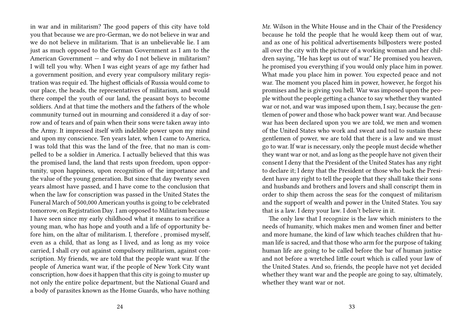in war and in militarism? The good papers of this city have told you that because we are pro-German, we do not believe in war and we do not believe in militarism. That is an unbelievable lie. I am just as much opposed to the German Government as I am to the American Government — and why do I not believe in militarism? I will tell you why. When I was eight years of age my father had a government position, and every year compulsory military registration was requir ed. The highest officials of Russia would come to our place, the heads, the representatives of militarism, and would there compel the youth of our land, the peasant boys to become soldiers. And at that time the mothers and the fathers of the whole community turned out in mourning and considered it a day of sorrow and of tears and of pain when their sons were taken away into the Army. It impressed itself with indelible power upon my mind and upon my conscience. Ten years later, when I came to America, I was told that this was the land of the free, that no man is compelled to be a soldier in America. I actually believed that this was the promised land, the land that rests upon freedom, upon opportunity, upon happiness, upon recognition of the importance and the value of the young generation. But since that day twenty seven years almost have passed, and I have come to the conclusion that when the law for conscription was passed in the United States the Funeral March of 500,000 American youths is going to be celebrated tomorrow, on Registration Day. I am opposed to Militarism because I have seen since my early childhood what it means to sacrifice a young man, who has hope and youth and a life of opportunity before him, on the altar of militarism. I, therefore , promised myself, even as a child, that as long as I lived, and as long as my voice carried, I shall cry out against compulsory militarism, against conscription. My friends, we are told that the people want war. If the people of America want war, if the people of New York City want conscription, how does it happen that this city is going to muster up not only the entire police department, but the National Guard and a body of parasites known as the Home Guards, who have nothing

Mr. Wilson in the White House and in the Chair of the Presidency because he told the people that he would keep them out of war, and as one of his political advertisements billposters were posted all over the city with the picture of a working woman and her children saying, "He has kept us out of war." He promised you heaven, he promised you everything if you would only place him in power. What made you place him in power. You expected peace and not war. The moment you placed him in power, however, he forgot his promises and he is giving you hell. War was imposed upon the people without the people getting a chance to say whether they wanted war or not, and war was imposed upon them, I say, because the gentlemen of power and those who back power want war. And because war has been declared upon you we are told, we men and women of the United States who work and sweat and toil to sustain these gentlemen of power, we are told that there is a law and we must go to war. If war is necessary, only the people must decide whether they want war or not, and as long as the people have not given their consent I deny that the President of the United States has any right to declare it; I deny that the President or those who back the President have any right to tell the people that they shall take their sons and husbands and brothers and lovers and shall conscript them in order to ship them across the seas for the conquest of militarism and the support of wealth and power in the United States. You say that is a law. I deny your law. I don't believe in it.

The only law that I recognize is the law which ministers to the needs of humanity, which makes men and women finer and better and more humane, the kind of law which teaches children that human life is sacred, and that those who arm for the purpose of taking human life are going to be called before the bar of human justice and not before a wretched little court which is called your law of the United States. And so, friends, the people have not yet decided whether they want war and the people are going to say, ultimately, whether they want war or not.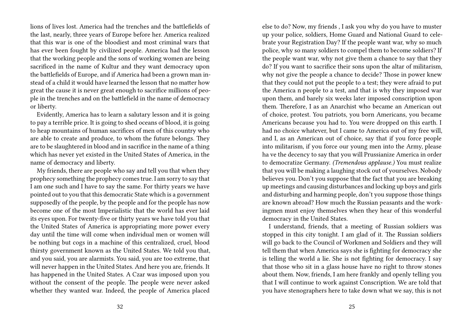lions of lives lost. America had the trenches and the battlefields of the last, nearly, three years of Europe before her. America realized that this war is one of the bloodiest and most criminal wars that has ever been fought by civilized people. America had the lesson that the working people and the sons of working women are being sacrificed in the name of Kultur and they want democracy upon the battlefields of Europe, and if America had been a grown man instead of a child it would have learned the lesson that no matter how great the cause it is never great enough to sacrifice millions of people in the trenches and on the battlefield in the name of democracy or liberty.

Evidently, America has to learn a salutary lesson and it is going to pay a terrible price. It is going to shed oceans of blood, it is going to heap mountains of human sacrifices of men of this country who are able to create and produce, to whom the future belongs. They are to be slaughtered in blood and in sacrifice in the name of a thing which has never yet existed in the United States of America, in the name of democracy and liberty.

My friends, there are people who say and tell you that when they prophecy something the prophecy comes true. I am sorry to say that I am one such and I have to say the same. For thirty years we have pointed out to you that this democratic State which is a government supposedly of the people, by the people and for the people has now become one of the most Imperialistic that the world has ever laid its eyes upon. For twenty-five or thirty years we have told you that the United States of America is appropriating more power every day until the time will come when individual men or women will be nothing but cogs in a machine of this centralized, cruel, blood thirsty government known as the United States. We told you that, and you said, you are alarmists. You said, you are too extreme, that will never happen in the United States. And here you are, friends. It has happened in the United States. A Czar was imposed upon you without the consent of the people. The people were never asked whether they wanted war. Indeed, the people of America placed

else to do? Now, my friends , I ask you why do you have to muster up your police, soldiers, Home Guard and National Guard to celebrate your Registration Day? If the people want war, why so much police, why so many soldiers to compel them to become soldiers? If the people want war, why not give them a chance to say that they do? If you want to sacrifice their sons upon the altar of militarism, why not give the people a chance to decide? Those in power knew that they could not put the people to a test; they were afraid to put the America n people to a test, and that is why they imposed war upon them, and barely six weeks later imposed conscription upon them. Therefore, I as an Anarchist who became an American out of choice, protest. You patriots, you born Americans, you became Americans because you had to. You were dropped on this earth. I had no choice whatever, but I came to America out of my free will, and I, as an American out of choice, say that if you force people into militarism, if you force our young men into the Army, please ha ve the decency to say that you will Prussianize America in order to democratize Germany. *(Tremendous applause.)* You must realize that you will be making a laughing stock out of yourselves. Nobody believes you. Don't you suppose that the fact that you are breaking up meetings and causing disturbances and locking up boys and girls and disturbing and harming people, don't you suppose those things are known abroad? How much the Russian peasants and the workingmen must enjoy themselves when they hear of this wonderful democracy in the United States.

I understand, friends, that a meeting of Russian soldiers was stopped in this city tonight. I am glad of it. The Russian soldiers will go back to the Council of Workmen and Soldiers and they will tell them that when America says she is fighting for democracy she is telling the world a lie. She is not fighting for democracy. I say that those who sit in a glass house have no right to throw stones about them. Now, friends, I am here frankly and openly telling you that I will continue to work against Conscription. We are told that you have stenographers here to take down what we say, this is not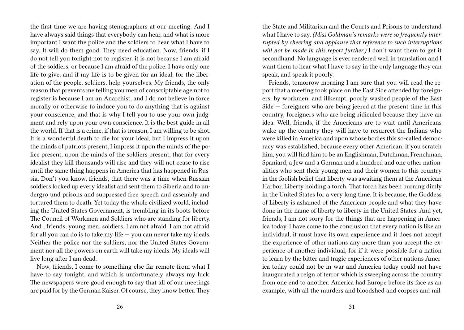the first time we are having stenographers at our meeting. And I have always said things that everybody can hear, and what is more important I want the police and the soldiers to hear what I have to say. It will do them good. They need education. Now, friends, if I do not tell you tonight not to register, it is not because I am afraid of the soldiers, or because I am afraid of the police. I have only one life to give, and if my life is to be given for an ideal, for the liberation of the people, soldiers, help yourselves. My friends, the only reason that prevents me telling you men of conscriptable age not to register is because I am an Anarchist, and I do not believe in force morally or otherwise to induce you to do anything that is against your conscience, and that is why I tell you to use your own judgment and rely upon your own conscience. It is the best guide in all the world. If that is a crime, if that is treason, I am willing to be shot. It is a wonderful death to die for your ideal, but I impress it upon the minds of patriots present, I impress it upon the minds of the police present, upon the minds of the soldiers present, that for every idealist they kill thousands will rise and they will not cease to rise until the same thing happens in America that has happened in Russia. Don't you know, friends, that there was a time when Russian soldiers locked up every idealist and sent them to Siberia and to undergro und prisons and suppressed free speech and assembly and tortured them to death. Yet today the whole civilized world, including the United States Government, is trembling in its boots before The Council of Workmen and Soldiers who are standing for liberty. And , friends, young men, soldiers, I am not afraid. I am not afraid for all you can do is to take my life  $-$  you can never take my ideals. Neither the police nor the soldiers, nor the United States Government nor all the powers on earth will take my ideals. My ideals will live long after I am dead.

Now, friends, I come to something else far remote from what I have to say tonight, and which is unfortunately always my luck. The newspapers were good enough to say that all of our meetings are paid for by the German Kaiser. Of course, they know better.They

the State and Militarism and the Courts and Prisons to understand what I have to say. *(Miss Goldman's remarks were so frequently interrupted by cheering and applause that reference to such interruptions will not be made in this report further.)* I don't want them to get it secondhand. No language is ever rendered well in translation and I want them to hear what I have to say in the only language they can speak, and speak it poorly.

Friends, tomorrow morning I am sure that you will read the report that a meeting took place on the East Side attended by foreigners, by workmen, and illkempt, poorly washed people of the East Side — foreigners who are being jeered at the present time in this country, foreigners who are being ridiculed because they have an idea. Well, friends, if the Americans are to wait until Americans wake up the country they will have to resurrect the Indians who were killed in America and upon whose bodies this so-called democracy was established, because every other American, if you scratch him, you will find him to be an Englishman, Dutchman, Frenchman, Spaniard, a Jew and a German and a hundred and one other nationalities who sent their young men and their women to this country in the foolish belief that liberty was awaiting them at the American Harbor, Liberty holding a torch. That torch has been burning dimly in the United States for a very long time. It is because, the Goddess of Liberty is ashamed of the American people and what they have done in the name of liberty to liberty in the United States. And yet, friends, I am not sorry for the things that are happening in America today. I have come to the conclusion that every nation is like an individual, it must have its own experience and it does not accept the experience of other nations any more than you accept the experience of another individual, for if it were possible for a nation to learn by the bitter and tragic experiences of other nations America today could not be in war and America today could not have inaugurated a reign of terror which is sweeping across the country from one end to another. America had Europe before its face as an example, with all the murders and bloodshed and corpses and mil-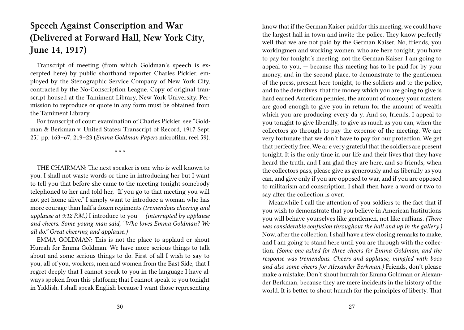### **Speech Against Conscription and War (Delivered at Forward Hall, New York City, June 14, 1917)**

Transcript of meeting (from which Goldman's speech is excerpted here) by public shorthand reporter Charles Pickler, employed by the Stenographic Service Company of New York City, contracted by the No-Conscription League. Copy of original transcript housed at the Tamiment Library, New York University. Permission to reproduce or quote in any form must be obtained from the Tamiment Library.

For transcript of court examination of Charles Pickler, see "Goldman & Berkman v. United States: Transcript of Record, 1917 Sept. 25," pp. 163–67, 219–23 (*Emma Goldman Papers* microfilm, reel 59).

\* \* \*

THE CHAIRMAN: The next speaker is one who is well known to you. I shall not waste words or time in introducing her but I want to tell you that before she came to the meeting tonight somebody telephoned to her and told her, "If you go to that meeting you will not get home alive." I simply want to introduce a woman who has more courage than half a dozen regiments*(tremendous cheering and applause at 9:12 P.M.)* I introduce to you — *(interrupted by applause and cheers. Some young man said, "Who loves Emma Goldman? We all do." Great cheering and applause.)*

EMMA GOLDMAN: This is not the place to applaud or shout Hurrah for Emma Goldman. We have more serious things to talk about and some serious things to do. First of all I wish to say to you, all of you, workers, men and women from the East Side, that I regret deeply that I cannot speak to you in the language I have always spoken from this platform; that I cannot speak to you tonight in Yiddish. I shall speak English because I want those representing

know that if the German Kaiser paid for this meeting, we could have the largest hall in town and invite the police. They know perfectly well that we are not paid by the German Kaiser. No, friends, you workingmen and working women, who are here tonight, you have to pay for tonight's meeting, not the German Kaiser. I am going to appeal to you,  $-$  because this meeting has to be paid for by your money, and in the second place, to demonstrate to the gentlemen of the press, present here tonight, to the soldiers and to the police, and to the detectives, that the money which you are going to give is hard earned American pennies, the amount of money your masters are good enough to give you in return for the amount of wealth which you are producing every da y. And so, friends, I appeal to you tonight to give liberally, to give as much as you can, when the collectors go through to pay the expense of the meeting. We are very fortunate that we don't have to pay for our protection. We get that perfectly free. We ar e very grateful that the soldiers are present tonight. It is the only time in our life and their lives that they have heard the truth, and I am glad they are here, and so friends, when the collectors pass, please give as generously and as liberally as you can, and give only if you are opposed to war, and if you are opposed to militarism and conscription. I shall then have a word or two to say after the collection is over.

Meanwhile I call the attention of you soldiers to the fact that if you wish to demonstrate that you believe in American Institutions you will behave yourselves like gentlemen, not like ruffians. *(There was considerable confusion throughout the hall and up in the gallery.)* Now, after the collection, I shall have a few closing remarks to make, and I am going to stand here until you are through with the collection. *(Some one asked for three cheers for Emma Goldman, and the response was tremendous. Cheers and applause, mingled with boos and also some cheers for Alexander Berkman.)* Friends, don't please make a mistake. Don't shout hurrah for Emma Goldman or Alexander Berkman, because they are mere incidents in the history of the world. It is better to shout hurrah for the principles of liberty. That